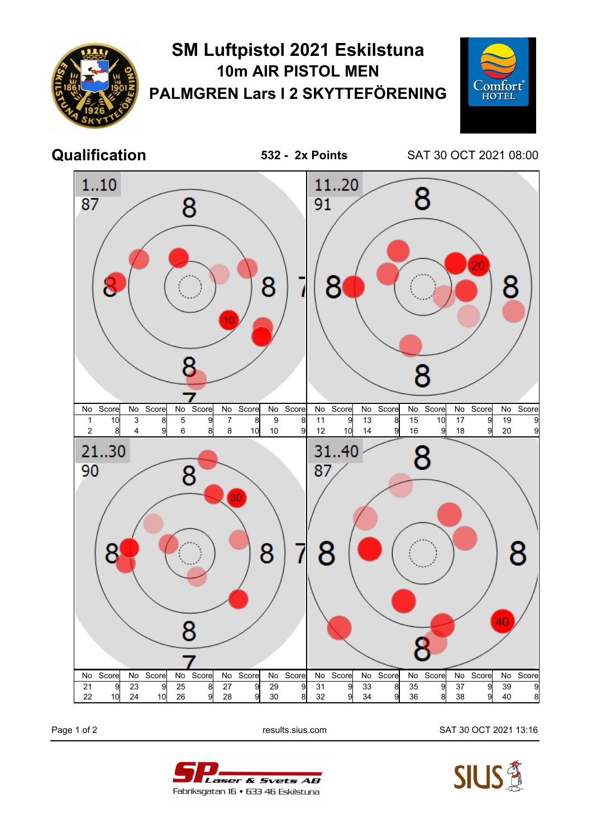

## **SM Luftpistol 2021 Eskilstuna 10m AIR PISTOL MEN PALMGREN Lars I 2 SKYTTEFÖRENING**



**Qualification 532 - 2x Points** SAT 30 OCT 2021 08:00



Page 1 of 2 results.sius.com SAT 30 OCT 2021 13:16